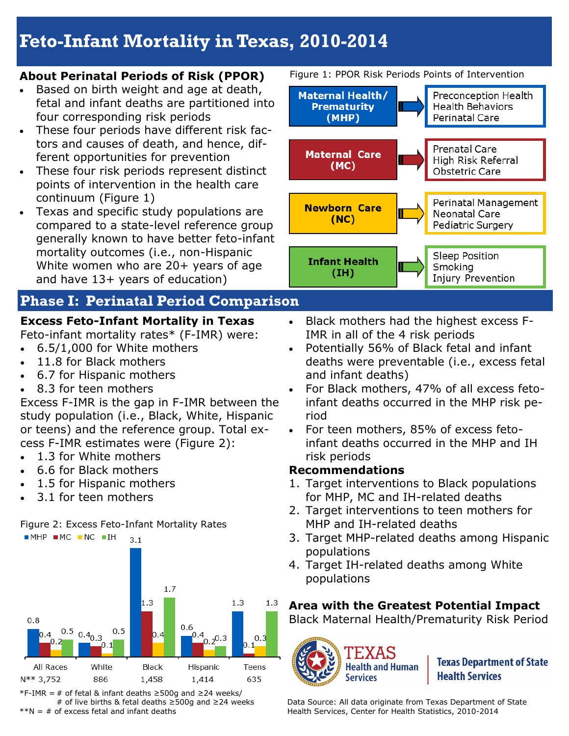# **Feto-Infant Mortality in Texas, 2010-2014**

### **About Perinatal Periods of Risk (PPOR)**

- Based on birth weight and age at death, fetal and infant deaths are partitioned into four corresponding risk periods
- These four periods have different risk factors and causes of death, and hence, different opportunities for prevention
- These four risk periods represent distinct points of intervention in the health care continuum (Figure 1)
- Texas and specific study populations are compared to a state-level reference group generally known to have better feto-infant mortality outcomes (i.e., non-Hispanic White women who are 20+ years of age and have 13+ years of education)

## **Phase I: Perinatal Period Comparison**

## **Excess Feto-Infant Mortality in Texas**

Feto-infant mortality rates\* (F-IMR) were:

- 6.5/1,000 for White mothers
- 11.8 for Black mothers
- 6.7 for Hispanic mothers
- 8.3 for teen mothers

Excess F-IMR is the gap in F-IMR between the study population (i.e., Black, White, Hispanic or teens) and the reference group. Total excess F-IMR estimates were (Figure 2):

- 1.3 for White mothers
- 6.6 for Black mothers
- 1.5 for Hispanic mothers
- 3.1 for teen mothers

## Figure 2: Excess Feto-Infant Mortality Rates



\*F-IMR = # of fetal & infant deaths ≥500g and ≥24 weeks/ # of live births & fetal deaths ≥500g and ≥24 weeks  $*N = #$  of excess fetal and infant deaths

Figure 1: PPOR Risk Periods Points of Intervention



Sleep Position Smoking Injury Prevention

- Black mothers had the highest excess F-IMR in all of the 4 risk periods
- Potentially 56% of Black fetal and infant deaths were preventable (i.e., excess fetal and infant deaths)
- For Black mothers, 47% of all excess fetoinfant deaths occurred in the MHP risk period
- For teen mothers, 85% of excess fetoinfant deaths occurred in the MHP and IH risk periods

## **Recommendations**

**Infant Health** 

 $(IH)$ 

- 1. Target interventions to Black populations for MHP, MC and IH-related deaths
- 2. Target interventions to teen mothers for MHP and IH-related deaths
- 3. Target MHP-related deaths among Hispanic populations
- 4. Target IH-related deaths among White populations

## **Area with the Greatest Potential Impact**

Black Maternal Health/Prematurity Risk Period



**Texas Department of State Health Services** 

Data Source: All data originate from Texas Department of State Health Services, Center for Health Statistics, 2010-2014